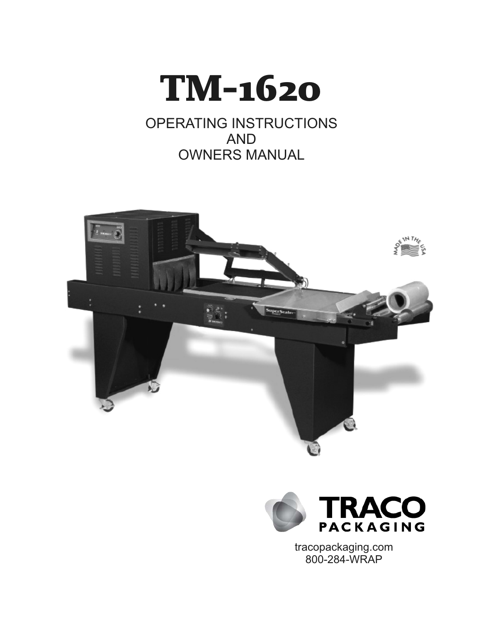

# OPERATING INSTRUCTIONS AND OWNERS MANUAL





tracopackaging.com 800-284-WRAP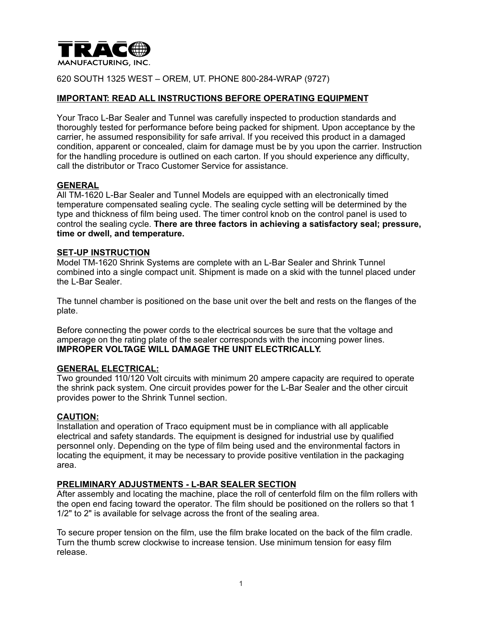

620 SOUTH 1325 WEST – OREM, UT. PHONE 800-284-WRAP (9727)

# **IMPORTANT: READ ALL INSTRUCTIONS BEFORE OPERATING EQUIPMENT**

Your Traco L-Bar Sealer and Tunnel was carefully inspected to production standards and thoroughly tested for performance before being packed for shipment. Upon acceptance by the carrier, he assumed responsibility for safe arrival. If you received this product in a damaged condition, apparent or concealed, claim for damage must be by you upon the carrier. Instruction for the handling procedure is outlined on each carton. If you should experience any difficulty, call the distributor or Traco Customer Service for assistance.

#### **GENERAL**

All TM-1620 L-Bar Sealer and Tunnel Models are equipped with an electronically timed temperature compensated sealing cycle. The sealing cycle setting will be determined by the type and thickness of film being used. The timer control knob on the control panel is used to control the sealing cycle. **There are three factors in achieving a satisfactory seal; pressure, time or dwell, and temperature.** 

#### **SET-UP INSTRUCTION**

Model TM-1620 Shrink Systems are complete with an L-Bar Sealer and Shrink Tunnel combined into a single compact unit. Shipment is made on a skid with the tunnel placed under the L-Bar Sealer.

The tunnel chamber is positioned on the base unit over the belt and rests on the flanges of the plate.

Before connecting the power cords to the electrical sources be sure that the voltage and amperage on the rating plate of the sealer corresponds with the incoming power lines. **IMPROPER VOLTAGE WILL DAMAGE THE UNIT ELECTRICALLY.** 

## **GENERAL ELECTRICAL:**

Two grounded 110/120 Volt circuits with minimum 20 ampere capacity are required to operate the shrink pack system. One circuit provides power for the L-Bar Sealer and the other circuit provides power to the Shrink Tunnel section.

#### **CAUTION:**

Installation and operation of Traco equipment must be in compliance with all applicable electrical and safety standards. The equipment is designed for industrial use by qualified personnel only. Depending on the type of film being used and the environmental factors in locating the equipment, it may be necessary to provide positive ventilation in the packaging area.

## **PRELIMINARY ADJUSTMENTS - L-BAR SEALER SECTION**

After assembly and locating the machine, place the roll of centerfold film on the film rollers with the open end facing toward the operator. The film should be positioned on the rollers so that 1 1/2" to 2" is available for selvage across the front of the sealing area.

To secure proper tension on the film, use the film brake located on the back of the film cradle. Turn the thumb screw clockwise to increase tension. Use minimum tension for easy film release.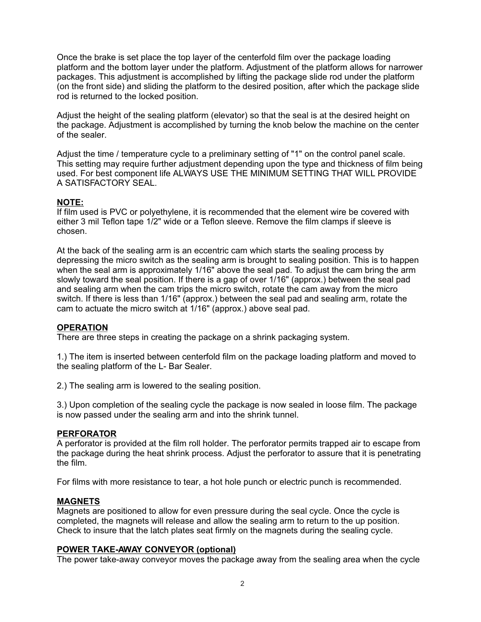Once the brake is set place the top layer of the centerfold film over the package loading platform and the bottom layer under the platform. Adjustment of the platform allows for narrower packages. This adjustment is accomplished by lifting the package slide rod under the platform (on the front side) and sliding the platform to the desired position, after which the package slide rod is returned to the locked position.

Adjust the height of the sealing platform (elevator) so that the seal is at the desired height on the package. Adjustment is accomplished by turning the knob below the machine on the center of the sealer.

Adjust the time / temperature cycle to a preliminary setting of "1" on the control panel scale. This setting may require further adjustment depending upon the type and thickness of film being used. For best component life ALWAYS USE THE MINIMUM SETTING THAT WILL PROVIDE A SATISFACTORY SEAL.

# **NOTE:**

If film used is PVC or polyethylene, it is recommended that the element wire be covered with either 3 mil Teflon tape 1/2" wide or a Teflon sleeve. Remove the film clamps if sleeve is chosen.

At the back of the sealing arm is an eccentric cam which starts the sealing process by depressing the micro switch as the sealing arm is brought to sealing position. This is to happen when the seal arm is approximately 1/16" above the seal pad. To adjust the cam bring the arm slowly toward the seal position. If there is a gap of over 1/16" (approx.) between the seal pad and sealing arm when the cam trips the micro switch, rotate the cam away from the micro switch. If there is less than 1/16" (approx.) between the seal pad and sealing arm, rotate the cam to actuate the micro switch at 1/16" (approx.) above seal pad.

## **OPERATION**

There are three steps in creating the package on a shrink packaging system.

1.) The item is inserted between centerfold film on the package loading platform and moved to the sealing platform of the L- Bar Sealer.

2.) The sealing arm is lowered to the sealing position.

3.) Upon completion of the sealing cycle the package is now sealed in loose film. The package is now passed under the sealing arm and into the shrink tunnel.

## **PERFORATOR**

A perforator is provided at the film roll holder. The perforator permits trapped air to escape from the package during the heat shrink process. Adjust the perforator to assure that it is penetrating the film.

For films with more resistance to tear, a hot hole punch or electric punch is recommended.

## **MAGNETS**

Magnets are positioned to allow for even pressure during the seal cycle. Once the cycle is completed, the magnets will release and allow the sealing arm to return to the up position. Check to insure that the latch plates seat firmly on the magnets during the sealing cycle.

## **POWER TAKE-AWAY CONVEYOR (optional)**

The power take-away conveyor moves the package away from the sealing area when the cycle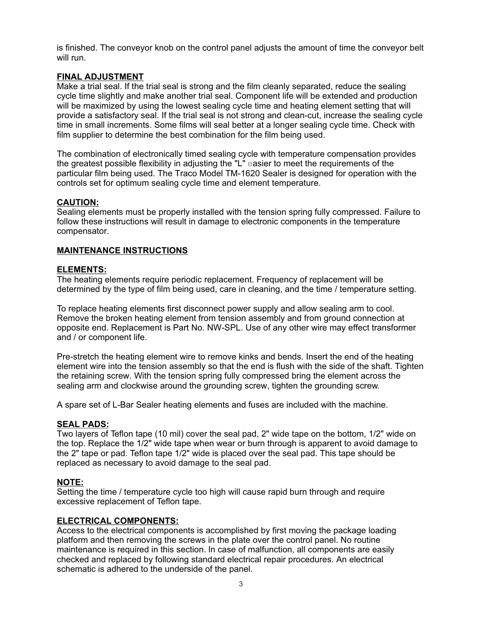is finished. The conveyor knob on the control panel adjusts the amount of time the conveyor belt will run.

## **FINAL ADJUSTMENT**

Make a trial seal. If the trial seal is strong and the film cleanly separated, reduce the sealing cycle time slightly and make another trial seal. Component life will be extended and production will be maximized by using the lowest sealing cycle time and heating element setting that will provide a satisfactory seal. If the trial seal is not strong and clean-cut, increase the sealing cycle time in small increments. Some films will seal better at a longer sealing cycle time. Check with film supplier to determine the best combination for the film being used.

The combination of electronically timed sealing cycle with temperature compensation provides the greatest possible flexibility in adjusting the "L" easier to meet the requirements of the particular film being used. The Traco Model TM-1620 Sealer is designed for operation with the controls set for optimum sealing cycle time and element temperature.

## **CAUTION:**

Sealing elements must be properly installed with the tension spring fully compressed. Failure to follow these instructions will result in damage to electronic components in the temperature compensator.

## **MAINTENANCE INSTRUCTIONS**

## **ELEMENTS:**

The heating elements require periodic replacement. Frequency of replacement will be determined by the type of film being used, care in cleaning, and the time / temperature setting.

To replace heating elements first disconnect power supply and allow sealing arm to cool. Remove the broken heating element from tension assembly and from ground connection at opposite end. Replacement is Part No. NW-SPL. Use of any other wire may effect transformer and / or component life.

Pre-stretch the heating element wire to remove kinks and bends. Insert the end of the heating element wire into the tension assembly so that the end is flush with the side of the shaft. Tighten the retaining screw. With the tension spring fully compressed bring the element across the sealing arm and clockwise around the grounding screw, tighten the grounding screw.

A spare set of L-Bar Sealer heating elements and fuses are included with the machine.

## **SEAL PADS:**

Two layers of Teflon tape (10 mil) cover the seal pad, 2" wide tape on the bottom, 1/2" wide on the top. Replace the 1/2" wide tape when wear or burn through is apparent to avoid damage to the 2" tape or pad. Teflon tape 1/2" wide is placed over the seal pad. This tape should be replaced as necessary to avoid damage to the seal pad.

## **NOTE:**

Setting the time / temperature cycle too high will cause rapid burn through and require excessive replacement of Teflon tape.

## **ELECTRICAL COMPONENTS:**

Access to the electrical components is accomplished by first moving the package loading platform and then removing the screws in the plate over the control panel. No routine maintenance is required in this section. ln case of malfunction, all components are easily checked and replaced by following standard electrical repair procedures. An electrical schematic is adhered to the underside of the panel.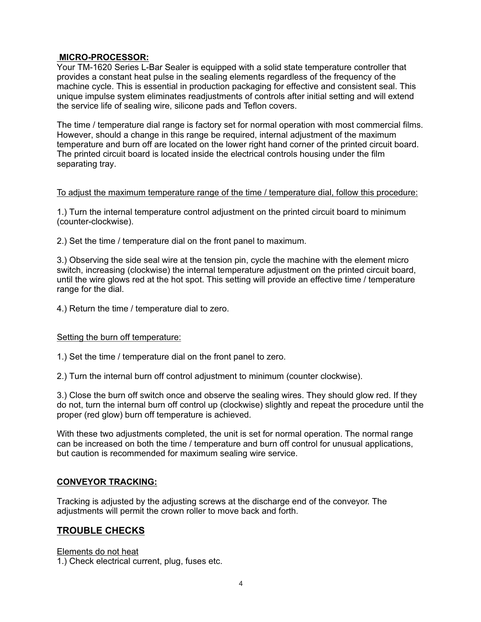# **MICRO-PROCESSOR:**

Your TM-1620 Series L-Bar Sealer is equipped with a solid state temperature controller that provides a constant heat pulse in the sealing elements regardless of the frequency of the machine cycle. This is essential in production packaging for effective and consistent seal. This unique impulse system eliminates readjustments of controls after initial setting and will extend the service life of sealing wire, silicone pads and Teflon covers.

The time / temperature dial range is factory set for normal operation with most commercial films. However, should a change in this range be required, internal adjustment of the maximum temperature and burn off are located on the lower right hand corner of the printed circuit board. The printed circuit board is located inside the electrical controls housing under the film separating tray.

## To adjust the maximum temperature range of the time / temperature dial, follow this procedure:

1.) Turn the internal temperature control adjustment on the printed circuit board to minimum (counter-clockwise).

2.) Set the time / temperature dial on the front panel to maximum.

3.) Observing the side seal wire at the tension pin, cycle the machine with the element micro switch, increasing (clockwise) the internal temperature adjustment on the printed circuit board, until the wire glows red at the hot spot. This setting will provide an effective time / temperature range for the dial.

4.) Return the time / temperature dial to zero.

## Setting the burn off temperature:

1.) Set the time / temperature dial on the front panel to zero.

2.) Turn the internal burn off control adjustment to minimum (counter clockwise).

3.) Close the burn off switch once and observe the sealing wires. They should glow red. If they do not, turn the internal burn off control up (clockwise) slightly and repeat the procedure until the proper (red glow) burn off temperature is achieved.

With these two adjustments completed, the unit is set for normal operation. The normal range can be increased on both the time / temperature and burn off control for unusual applications, but caution is recommended for maximum sealing wire service.

# **CONVEYOR TRACKING:**

Tracking is adjusted by the adjusting screws at the discharge end of the conveyor. The adjustments will permit the crown roller to move back and forth.

# **TROUBLE CHECKS**

Elements do not heat

1.) Check electrical current, plug, fuses etc.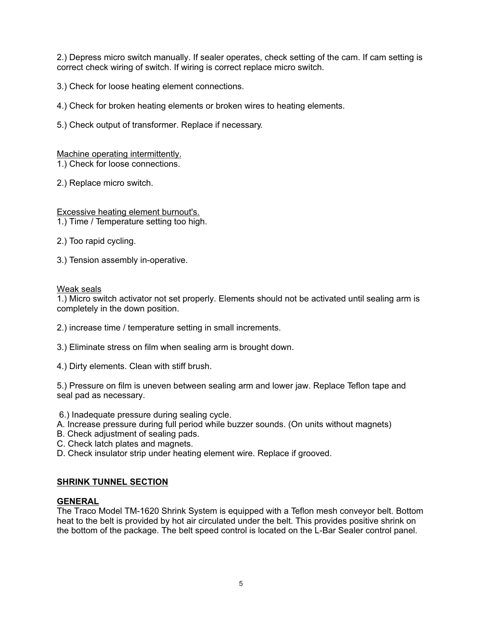2.) Depress micro switch manually. If sealer operates, check setting of the cam. If cam setting is correct check wiring of switch. If wiring is correct replace micro switch.

3.) Check for loose heating element connections.

4.) Check for broken heating elements or broken wires to heating elements.

5.) Check output of transformer. Replace if necessary.

# Machine operating intermittently.

1.) Check for loose connections.

2.) Replace micro switch.

Excessive heating element burnout's. 1.) Time / Temperature setting too high.

- 2.) Too rapid cycling.
- 3.) Tension assembly in-operative.

## Weak seals

1.) Micro switch activator not set properly. Elements should not be activated until sealing arm is completely in the down position.

- 2.) increase time / temperature setting in small increments.
- 3.) Eliminate stress on film when sealing arm is brought down.
- 4.) Dirty elements. Clean with stiff brush.

5.) Pressure on film is uneven between sealing arm and lower jaw. Replace Teflon tape and seal pad as necessary.

- 6.) Inadequate pressure during sealing cycle.
- A. Increase pressure during full period while buzzer sounds. (On units without magnets)
- B. Check adjustment of sealing pads.
- C. Check latch plates and magnets.
- D. Check insulator strip under heating element wire. Replace if grooved.

# **SHRINK TUNNEL SECTION**

# **GENERAL**

The Traco Model TM-1620 Shrink System is equipped with a Teflon mesh conveyor belt. Bottom heat to the belt is provided by hot air circulated under the belt. This provides positive shrink on the bottom of the package. The belt speed control is located on the L-Bar Sealer control panel.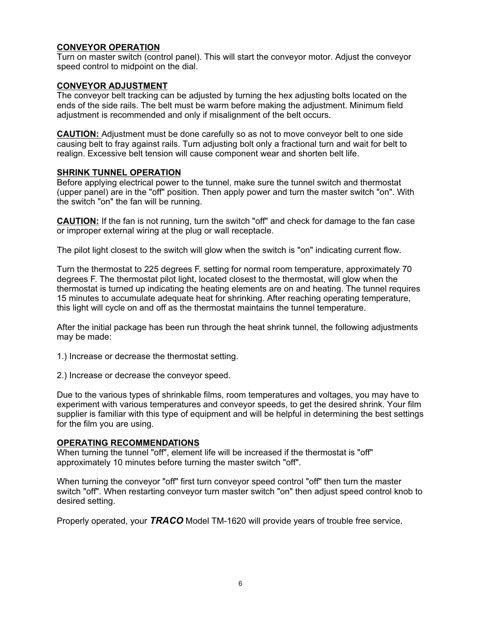# **CONVEYOR OPERATION**

Turn on master switch (control panel). This will start the conveyor motor. Adjust the conveyor speed control to midpoint on the dial.

## **CONVEYOR ADJUSTMENT**

The conveyor belt tracking can be adjusted by turning the hex adjusting bolts located on the ends of the side rails. The belt must be warm before making the adjustment. Minimum field adjustment is recommended and only if misalignment of the belt occurs.

**CAUTION:** Adjustment must be done carefully so as not to move conveyor belt to one side causing belt to fray against rails. Turn adjusting bolt only a fractional turn and wait for belt to realign. Excessive belt tension will cause component wear and shorten belt life.

## **SHRINK TUNNEL OPERATION**

Before applying electrical power to the tunnel, make sure the tunnel switch and thermostat (upper panel) are in the "off" position. Then apply power and turn the master switch "on". With the switch "on" the fan will be running.

**CAUTION:** If the fan is not running, turn the switch "off" and check for damage to the fan case or improper external wiring at the plug or wall receptacle.

The pilot light closest to the switch will glow when the switch is "on" indicating current flow.

Turn the thermostat to 225 degrees F. setting for normal room temperature, approximately 70 degrees F. The thermostat pilot light, located closest to the thermostat, will glow when the thermostat is turned up indicating the heating elements are on and heating. The tunnel requires 15 minutes to accumulate adequate heat for shrinking. After reaching operating temperature, this light will cycle on and off as the thermostat maintains the tunnel temperature.

After the initial package has been run through the heat shrink tunnel, the following adjustments may be made:

1.) Increase or decrease the thermostat setting.

2.) Increase or decrease the conveyor speed.

Due to the various types of shrinkable films, room temperatures and voltages, you may have to experiment with various temperatures and conveyor speeds, to get the desired shrink. Your film supplier is familiar with this type of equipment and will be helpful in determining the best settings for the film you are using.

## **OPERATING RECOMMENDATIONS**

When turning the tunnel "off", element life will be increased if the thermostat is "off" approximately 10 minutes before turning the master switch "off".

When turning the conveyor "off" first turn conveyor speed control "off" then turn the master switch "off". When restarting conveyor turn master switch "on" then adjust speed control knob to desired setting.

Properly operated, your *TRACO* Model TM-1620 will provide years of trouble free service.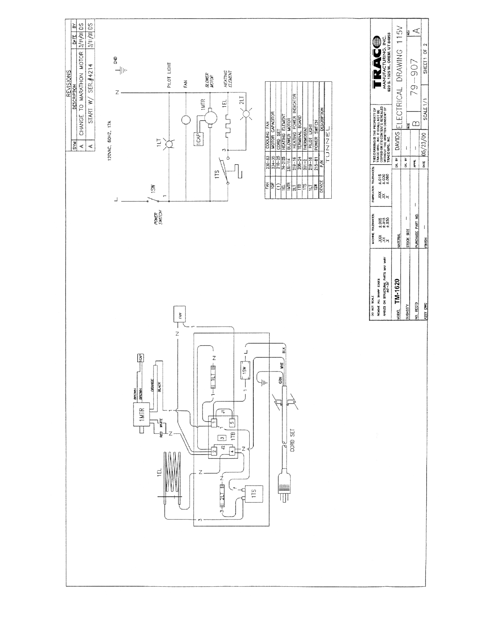